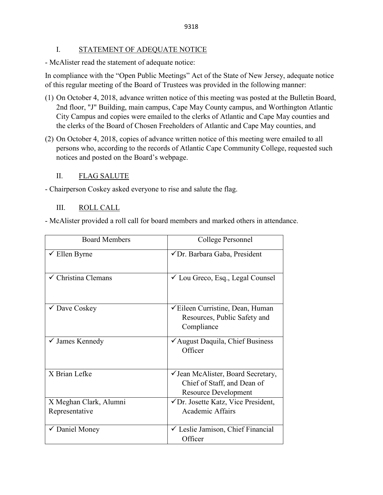### I. STATEMENT OF ADEQUATE NOTICE

- McAlister read the statement of adequate notice:

In compliance with the "Open Public Meetings" Act of the State of New Jersey, adequate notice of this regular meeting of the Board of Trustees was provided in the following manner:

- (1) On October 4, 2018, advance written notice of this meeting was posted at the Bulletin Board, 2nd floor, "J" Building, main campus, Cape May County campus, and Worthington Atlantic City Campus and copies were emailed to the clerks of Atlantic and Cape May counties and the clerks of the Board of Chosen Freeholders of Atlantic and Cape May counties, and
- (2) On October 4, 2018, copies of advance written notice of this meeting were emailed to all persons who, according to the records of Atlantic Cape Community College, requested such notices and posted on the Board's webpage.

### II. FLAG SALUTE

- Chairperson Coskey asked everyone to rise and salute the flag.

### III. ROLL CALL

- McAlister provided a roll call for board members and marked others in attendance.

| <b>Board Members</b>           | College Personnel                                                                                     |
|--------------------------------|-------------------------------------------------------------------------------------------------------|
| $\checkmark$ Ellen Byrne       | √Dr. Barbara Gaba, President                                                                          |
| $\checkmark$ Christina Clemans | $\checkmark$ Lou Greco, Esq., Legal Counsel                                                           |
| ✔ Dave Coskey                  | <del></del> <del>∕</del> Eileen Curristine, Dean, Human<br>Resources, Public Safety and<br>Compliance |
| $\checkmark$ James Kennedy     | ✔ August Daquila, Chief Business<br>Officer                                                           |
| X Brian Lefke                  | √ Jean McAlister, Board Secretary,<br>Chief of Staff, and Dean of<br><b>Resource Development</b>      |
| X Meghan Clark, Alumni         | $\sqrt{D}$ r. Josette Katz, Vice President,                                                           |
| Representative                 | Academic Affairs                                                                                      |
| ✔ Daniel Money                 | └ Leslie Jamison, Chief Financial<br>Officer                                                          |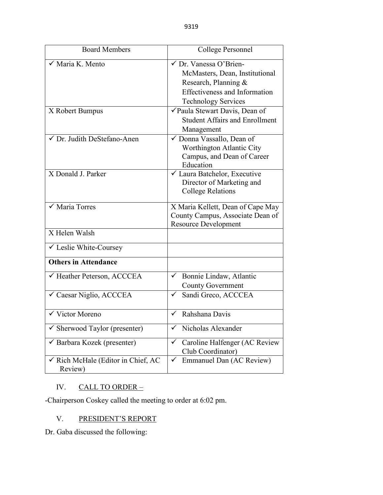| <b>Board Members</b>                                     | College Personnel                                                                                                                                                 |
|----------------------------------------------------------|-------------------------------------------------------------------------------------------------------------------------------------------------------------------|
| √ Maria K. Mento                                         | $\checkmark$ Dr. Vanessa O'Brien-<br>McMasters, Dean, Institutional<br>Research, Planning &<br><b>Effectiveness and Information</b><br><b>Technology Services</b> |
| X Robert Bumpus                                          | √Paula Stewart Davis, Dean of<br><b>Student Affairs and Enrollment</b><br>Management                                                                              |
| √ Dr. Judith DeStefano-Anen                              | ✓ Donna Vassallo, Dean of<br>Worthington Atlantic City<br>Campus, and Dean of Career<br>Education                                                                 |
| X Donald J. Parker                                       | ✓ Laura Batchelor, Executive<br>Director of Marketing and<br><b>College Relations</b>                                                                             |
| $\checkmark$ Maria Torres                                | X Maria Kellett, Dean of Cape May<br>County Campus, Associate Dean of<br><b>Resource Development</b>                                                              |
| $\overline{X}$ Helen Walsh                               |                                                                                                                                                                   |
| ✓ Leslie White-Coursey                                   |                                                                                                                                                                   |
| <b>Others in Attendance</b>                              |                                                                                                                                                                   |
| ← Heather Peterson, ACCCEA<br>✓ Caesar Niglio, ACCCEA    | $\overline{\smash{\checkmark}}$ Bonnie Lindaw, Atlantic<br><b>County Government</b><br>Sandi Greco, ACCCEA<br>$\checkmark$                                        |
|                                                          |                                                                                                                                                                   |
| $\checkmark$ Victor Moreno                               | Rahshana Davis<br>✓                                                                                                                                               |
| Sherwood Taylor (presenter)<br>✓                         | Nicholas Alexander<br>✓                                                                                                                                           |
| $\checkmark$ Barbara Kozek (presenter)                   | Caroline Halfenger (AC Review<br>✓<br>Club Coordinator)                                                                                                           |
| $\checkmark$ Rich McHale (Editor in Chief, AC<br>Review) | Emmanuel Dan (AC Review)<br>✓                                                                                                                                     |

# IV. CALL TO ORDER –

-Chairperson Coskey called the meeting to order at 6:02 pm.

### V. PRESIDENT'S REPORT

Dr. Gaba discussed the following: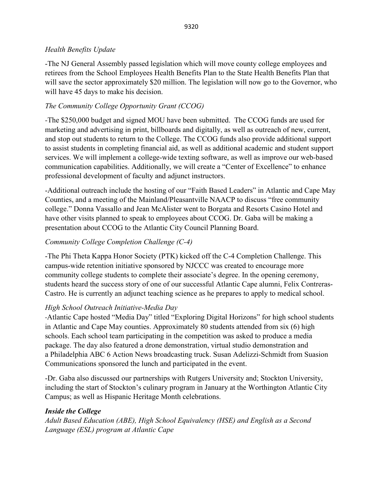### *Health Benefits Update*

-The NJ General Assembly passed legislation which will move county college employees and retirees from the School Employees Health Benefits Plan to the State Health Benefits Plan that will save the sector approximately \$20 million. The legislation will now go to the Governor, who will have 45 days to make his decision.

# *The Community College Opportunity Grant (CCOG)*

*-*The \$250,000 budget and signed MOU have been submitted. The CCOG funds are used for marketing and advertising in print, billboards and digitally, as well as outreach of new, current, and stop out students to return to the College. The CCOG funds also provide additional support to assist students in completing financial aid, as well as additional academic and student support services. We will implement a college-wide texting software, as well as improve our web-based communication capabilities. Additionally, we will create a "Center of Excellence" to enhance professional development of faculty and adjunct instructors.

-Additional outreach include the hosting of our "Faith Based Leaders" in Atlantic and Cape May Counties, and a meeting of the Mainland/Pleasantville NAACP to discuss "free community college." Donna Vassallo and Jean McAlister went to Borgata and Resorts Casino Hotel and have other visits planned to speak to employees about CCOG. Dr. Gaba will be making a presentation about CCOG to the Atlantic City Council Planning Board.

# *Community College Completion Challenge (C-4)*

-The Phi Theta Kappa Honor Society (PTK) kicked off the C-4 Completion Challenge. This campus-wide retention initiative sponsored by NJCCC was created to encourage more community college students to complete their associate's degree. In the opening ceremony, students heard the success story of one of our successful Atlantic Cape alumni, Felix Contreras-Castro. He is currently an adjunct teaching science as he prepares to apply to medical school.

# *High School Outreach Initiative-Media Day*

-Atlantic Cape hosted "Media Day" titled "Exploring Digital Horizons" for high school students in Atlantic and Cape May counties. Approximately 80 students attended from six (6) high schools. Each school team participating in the competition was asked to produce a media package. The day also featured a drone demonstration, virtual studio demonstration and a Philadelphia ABC 6 Action News broadcasting truck. Susan Adelizzi-Schmidt from Suasion Communications sponsored the lunch and participated in the event.

-Dr. Gaba also discussed our partnerships with Rutgers University and; Stockton University, including the start of Stockton's culinary program in January at the Worthington Atlantic City Campus; as well as Hispanic Heritage Month celebrations.

### *Inside the College*

*Adult Based Education (ABE), High School Equivalency (HSE) and English as a Second Language (ESL) program at Atlantic Cape*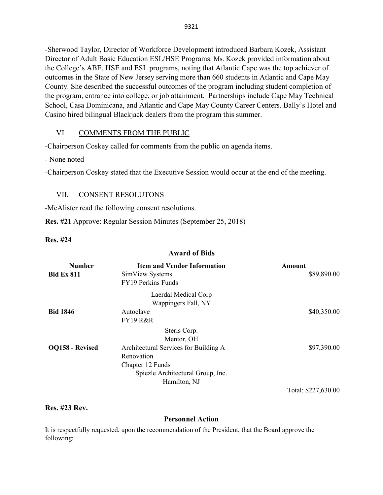-Sherwood Taylor, Director of Workforce Development introduced Barbara Kozek, Assistant Director of Adult Basic Education ESL/HSE Programs. Ms. Kozek provided information about the College's ABE, HSE and ESL programs, noting that Atlantic Cape was the top achiever of outcomes in the State of New Jersey serving more than 660 students in Atlantic and Cape May County. She described the successful outcomes of the program including student completion of the program, entrance into college, or job attainment. Partnerships include Cape May Technical School, Casa Dominicana, and Atlantic and Cape May County Career Centers. Bally's Hotel and Casino hired bilingual Blackjack dealers from the program this summer.

### VI. COMMENTS FROM THE PUBLIC

-Chairperson Coskey called for comments from the public on agenda items.

- None noted

-Chairperson Coskey stated that the Executive Session would occur at the end of the meeting.

### VII. CONSENT RESOLUTONS

-McAlister read the following consent resolutions.

**Res. #21** Approve: Regular Session Minutes (September 25, 2018)

**Res. #24**

#### **Award of Bids**

| \$40,350.00         |
|---------------------|
|                     |
| \$97,390.00         |
| Total: \$227,630.00 |
|                     |

#### **Res. #23 Rev.**

### **Personnel Action**

It is respectfully requested, upon the recommendation of the President, that the Board approve the following: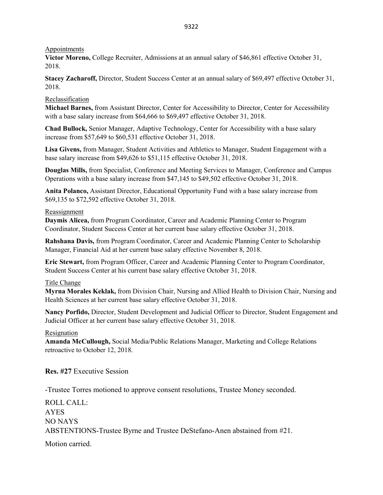#### Appointments

**Victor Moreno,** College Recruiter, Admissions at an annual salary of \$46,861 effective October 31, 2018.

**Stacey Zacharoff,** Director, Student Success Center at an annual salary of \$69,497 effective October 31, 2018.

### Reclassification

**Michael Barnes,** from Assistant Director, Center for Accessibility to Director, Center for Accessibility with a base salary increase from \$64,666 to \$69,497 effective October 31, 2018.

**Chad Bullock,** Senior Manager, Adaptive Technology, Center for Accessibility with a base salary increase from \$57,649 to \$60,531 effective October 31, 2018.

**Lisa Givens,** from Manager, Student Activities and Athletics to Manager, Student Engagement with a base salary increase from \$49,626 to \$51,115 effective October 31, 2018.

**Douglas Mills,** from Specialist, Conference and Meeting Services to Manager, Conference and Campus Operations with a base salary increase from \$47,145 to \$49,502 effective October 31, 2018.

**Anita Polanco,** Assistant Director, Educational Opportunity Fund with a base salary increase from \$69,135 to \$72,592 effective October 31, 2018.

#### Reassignment

**Daymis Alicea,** from Program Coordinator, Career and Academic Planning Center to Program Coordinator, Student Success Center at her current base salary effective October 31, 2018.

**Rahshana Davis,** from Program Coordinator, Career and Academic Planning Center to Scholarship Manager, Financial Aid at her current base salary effective November 8, 2018.

**Eric Stewart,** from Program Officer, Career and Academic Planning Center to Program Coordinator, Student Success Center at his current base salary effective October 31, 2018.

#### Title Change

**Myrna Morales Keklak,** from Division Chair, Nursing and Allied Health to Division Chair, Nursing and Health Sciences at her current base salary effective October 31, 2018.

**Nancy Porfido,** Director, Student Development and Judicial Officer to Director, Student Engagement and Judicial Officer at her current base salary effective October 31, 2018.

#### Resignation

**Amanda McCullough,** Social Media/Public Relations Manager, Marketing and College Relations retroactive to October 12, 2018.

**Res. #27** Executive Session

-Trustee Torres motioned to approve consent resolutions, Trustee Money seconded.

ROLL CALL: AYES NO NAYS ABSTENTIONS-Trustee Byrne and Trustee DeStefano-Anen abstained from #21.

Motion carried.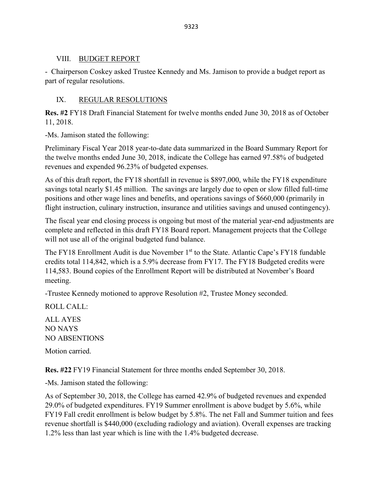### VIII. BUDGET REPORT

- Chairperson Coskey asked Trustee Kennedy and Ms. Jamison to provide a budget report as part of regular resolutions.

# IX. REGULAR RESOLUTIONS

**Res. #2** FY18 Draft Financial Statement for twelve months ended June 30, 2018 as of October 11, 2018.

-Ms. Jamison stated the following:

Preliminary Fiscal Year 2018 year-to-date data summarized in the Board Summary Report for the twelve months ended June 30, 2018, indicate the College has earned 97.58% of budgeted revenues and expended 96.23% of budgeted expenses.

As of this draft report, the FY18 shortfall in revenue is \$897,000, while the FY18 expenditure savings total nearly \$1.45 million. The savings are largely due to open or slow filled full-time positions and other wage lines and benefits, and operations savings of \$660,000 (primarily in flight instruction, culinary instruction, insurance and utilities savings and unused contingency).

The fiscal year end closing process is ongoing but most of the material year-end adjustments are complete and reflected in this draft FY18 Board report. Management projects that the College will not use all of the original budgeted fund balance.

The FY18 Enrollment Audit is due November  $1<sup>st</sup>$  to the State. Atlantic Cape's FY18 fundable credits total 114,842, which is a 5.9% decrease from FY17. The FY18 Budgeted credits were 114,583. Bound copies of the Enrollment Report will be distributed at November's Board meeting.

-Trustee Kennedy motioned to approve Resolution #2, Trustee Money seconded.

ROLL CALL:

ALL AYES NO NAYS NO ABSENTIONS

Motion carried.

**Res. #22** FY19 Financial Statement for three months ended September 30, 2018.

-Ms. Jamison stated the following:

As of September 30, 2018, the College has earned 42.9% of budgeted revenues and expended 29.0% of budgeted expenditures. FY19 Summer enrollment is above budget by 5.6%, while FY19 Fall credit enrollment is below budget by 5.8%. The net Fall and Summer tuition and fees revenue shortfall is \$440,000 (excluding radiology and aviation). Overall expenses are tracking 1.2% less than last year which is line with the 1.4% budgeted decrease.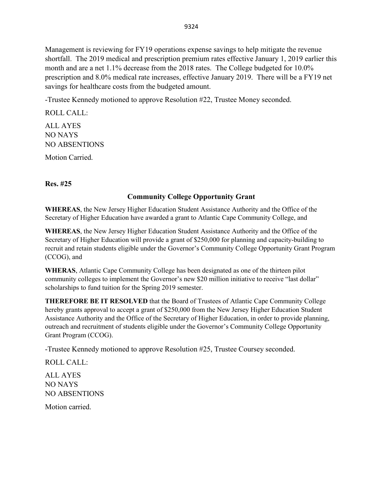Management is reviewing for FY19 operations expense savings to help mitigate the revenue shortfall. The 2019 medical and prescription premium rates effective January 1, 2019 earlier this month and are a net 1.1% decrease from the 2018 rates. The College budgeted for 10.0% prescription and 8.0% medical rate increases, effective January 2019. There will be a FY19 net savings for healthcare costs from the budgeted amount.

-Trustee Kennedy motioned to approve Resolution #22, Trustee Money seconded.

ROLL CALL: ALL AYES NO NAYS NO ABSENTIONS

Motion Carried.

**Res. #25**

### **Community College Opportunity Grant**

**WHEREAS**, the New Jersey Higher Education Student Assistance Authority and the Office of the Secretary of Higher Education have awarded a grant to Atlantic Cape Community College, and

**WHEREAS**, the New Jersey Higher Education Student Assistance Authority and the Office of the Secretary of Higher Education will provide a grant of \$250,000 for planning and capacity-building to recruit and retain students eligible under the Governor's Community College Opportunity Grant Program (CCOG), and

**WHERAS**, Atlantic Cape Community College has been designated as one of the thirteen pilot community colleges to implement the Governor's new \$20 million initiative to receive "last dollar" scholarships to fund tuition for the Spring 2019 semester.

**THEREFORE BE IT RESOLVED** that the Board of Trustees of Atlantic Cape Community College hereby grants approval to accept a grant of \$250,000 from the New Jersey Higher Education Student Assistance Authority and the Office of the Secretary of Higher Education, in order to provide planning, outreach and recruitment of students eligible under the Governor's Community College Opportunity Grant Program (CCOG).

-Trustee Kennedy motioned to approve Resolution #25, Trustee Coursey seconded.

ROLL CALL:

ALL AYES NO NAYS NO ABSENTIONS

Motion carried.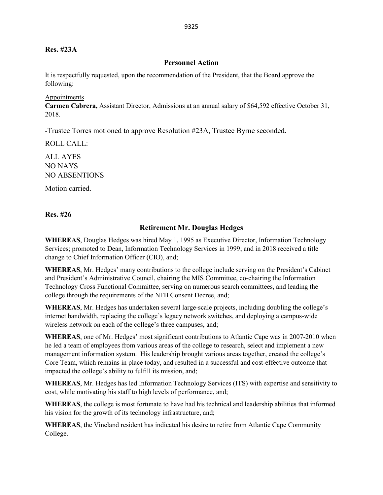#### **Res. #23A**

#### **Personnel Action**

It is respectfully requested, upon the recommendation of the President, that the Board approve the following:

#### Appointments

**Carmen Cabrera,** Assistant Director, Admissions at an annual salary of \$64,592 effective October 31, 2018.

-Trustee Torres motioned to approve Resolution #23A, Trustee Byrne seconded.

ROLL CALL:

ALL AYES NO NAYS NO ABSENTIONS

Motion carried.

**Res. #26**

#### **Retirement Mr. Douglas Hedges**

**WHEREAS**, Douglas Hedges was hired May 1, 1995 as Executive Director, Information Technology Services; promoted to Dean, Information Technology Services in 1999; and in 2018 received a title change to Chief Information Officer (CIO), and;

**WHEREAS**, Mr. Hedges' many contributions to the college include serving on the President's Cabinet and President's Administrative Council, chairing the MIS Committee, co-chairing the Information Technology Cross Functional Committee, serving on numerous search committees, and leading the college through the requirements of the NFB Consent Decree, and;

**WHEREAS**, Mr. Hedges has undertaken several large-scale projects, including doubling the college's internet bandwidth, replacing the college's legacy network switches, and deploying a campus-wide wireless network on each of the college's three campuses, and;

**WHEREAS**, one of Mr. Hedges' most significant contributions to Atlantic Cape was in 2007-2010 when he led a team of employees from various areas of the college to research, select and implement a new management information system. His leadership brought various areas together, created the college's Core Team, which remains in place today, and resulted in a successful and cost-effective outcome that impacted the college's ability to fulfill its mission, and;

**WHEREAS**, Mr. Hedges has led Information Technology Services (ITS) with expertise and sensitivity to cost, while motivating his staff to high levels of performance, and;

**WHEREAS**, the college is most fortunate to have had his technical and leadership abilities that informed his vision for the growth of its technology infrastructure, and;

**WHEREAS**, the Vineland resident has indicated his desire to retire from Atlantic Cape Community College.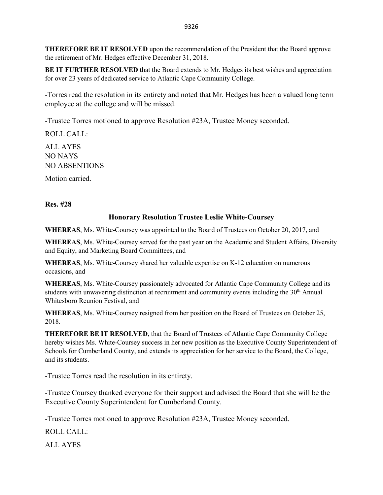**THEREFORE BE IT RESOLVED** upon the recommendation of the President that the Board approve the retirement of Mr. Hedges effective December 31, 2018.

**BE IT FURTHER RESOLVED** that the Board extends to Mr. Hedges its best wishes and appreciation for over 23 years of dedicated service to Atlantic Cape Community College.

-Torres read the resolution in its entirety and noted that Mr. Hedges has been a valued long term employee at the college and will be missed.

-Trustee Torres motioned to approve Resolution #23A, Trustee Money seconded.

ROLL CALL:

ALL AYES NO NAYS NO ABSENTIONS

Motion carried.

**Res. #28**

### **Honorary Resolution Trustee Leslie White-Coursey**

**WHEREAS**, Ms. White-Coursey was appointed to the Board of Trustees on October 20, 2017, and

**WHEREAS**, Ms. White-Coursey served for the past year on the Academic and Student Affairs, Diversity and Equity, and Marketing Board Committees, and

**WHEREAS**, Ms. White-Coursey shared her valuable expertise on K-12 education on numerous occasions, and

**WHEREAS**, Ms. White-Coursey passionately advocated for Atlantic Cape Community College and its students with unwavering distinction at recruitment and community events including the 30<sup>th</sup> Annual Whitesboro Reunion Festival, and

**WHEREAS**, Ms. White-Coursey resigned from her position on the Board of Trustees on October 25, 2018.

**THEREFORE BE IT RESOLVED**, that the Board of Trustees of Atlantic Cape Community College hereby wishes Ms. White-Coursey success in her new position as the Executive County Superintendent of Schools for Cumberland County, and extends its appreciation for her service to the Board, the College, and its students.

-Trustee Torres read the resolution in its entirety.

-Trustee Coursey thanked everyone for their support and advised the Board that she will be the Executive County Superintendent for Cumberland County.

-Trustee Torres motioned to approve Resolution #23A, Trustee Money seconded.

ROLL CALL:

ALL AYES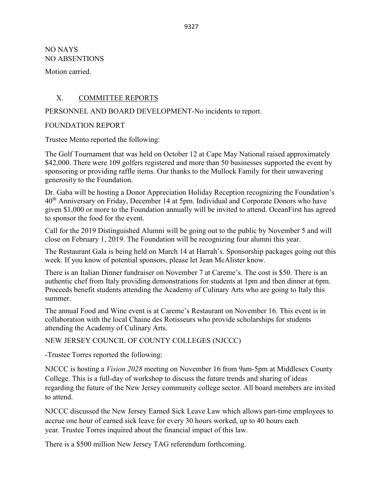NO NAYS NO ABSENTIONS

Motion carried.

### X. COMMITTEE REPORTS

### PERSONNEL AND BOARD DEVELOPMENT-No incidents to report.

### FOUNDATION REPORT

Trustee Mento reported the following:

The Golf Tournament that was held on October 12 at Cape May National raised approximately \$42,000. There were 109 golfers registered and more than 50 businesses supported the event by sponsoring or providing raffle items. Our thanks to the Mullock Family for their unwavering generosity to the Foundation.

Dr. Gaba will be hosting a Donor Appreciation Holiday Reception recognizing the Foundation's 40th Anniversary on Friday, December 14 at 5pm. Individual and Corporate Donors who have given \$1,000 or more to the Foundation annually will be invited to attend. OceanFirst has agreed to sponsor the food for the event.

Call for the 2019 Distinguished Alumni will be going out to the public by November 5 and will close on February 1, 2019. The Foundation will be recognizing four alumni this year.

The Restaurant Gala is being held on March 14 at Harrah's. Sponsorship packages going out this week. If you know of potential sponsors, please let Jean McAlister know.

There is an Italian Dinner fundraiser on November 7 at Careme's. The cost is \$50. There is an authentic chef from Italy providing demonstrations for students at 1pm and then dinner at 6pm. Proceeds benefit students attending the Academy of Culinary Arts who are going to Italy this summer.

The annual Food and Wine event is at Careme's Restaurant on November 16. This event is in collaboration with the local Chaine des Rotisseurs who provide scholarships for students attending the Academy of Culinary Arts.

NEW JERSEY COUNCIL OF COUNTY COLLEGES (NJCCC)

-Trustee Torres reported the following:

NJCCC is hosting a *Vision 2028* meeting on November 16 from 9am-5pm at Middlesex County College. This is a full-day of workshop to discuss the future trends and sharing of ideas regarding the future of the New Jersey community college sector. All board members are invited to attend.

NJCCC discussed the New Jersey Earned Sick Leave Law which allows part-time employees to accrue one hour of earned sick leave for every 30 hours worked, up to 40 hours each year. Trustee Torres inquired about the financial impact of this law.

There is a \$500 million New Jersey TAG referendum forthcoming.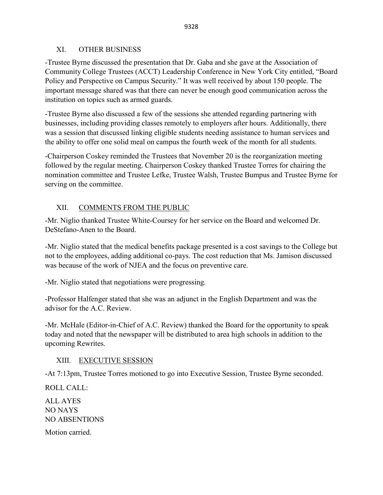### XI. OTHER BUSINESS

-Trustee Byrne discussed the presentation that Dr. Gaba and she gave at the Association of Community College Trustees (ACCT) Leadership Conference in New York City entitled, "Board Policy and Perspective on Campus Security." It was well received by about 150 people. The important message shared was that there can never be enough good communication across the institution on topics such as armed guards.

-Trustee Byrne also discussed a few of the sessions she attended regarding partnering with businesses, including providing classes remotely to employers after hours. Additionally, there was a session that discussed linking eligible students needing assistance to human services and the ability to offer one solid meal on campus the fourth week of the month for all students.

-Chairperson Coskey reminded the Trustees that November 20 is the reorganization meeting followed by the regular meeting. Chairperson Coskey thanked Trustee Torres for chairing the nomination committee and Trustee Lefke, Trustee Walsh, Trustee Bumpus and Trustee Byrne for serving on the committee.

# XII. COMMENTS FROM THE PUBLIC

-Mr. Niglio thanked Trustee White-Coursey for her service on the Board and welcomed Dr. DeStefano-Anen to the Board.

-Mr. Niglio stated that the medical benefits package presented is a cost savings to the College but not to the employees, adding additional co-pays. The cost reduction that Ms. Jamison discussed was because of the work of NJEA and the focus on preventive care.

-Mr. Niglio stated that negotiations were progressing.

-Professor Halfenger stated that she was an adjunct in the English Department and was the advisor for the A.C. Review.

-Mr. McHale (Editor-in-Chief of A.C. Review) thanked the Board for the opportunity to speak today and noted that the newspaper will be distributed to area high schools in addition to the upcoming Rewrites.

# XIII. EXECUTIVE SESSION

-At 7:13pm, Trustee Torres motioned to go into Executive Session, Trustee Byrne seconded.

ROLL CALL:

ALL AYES NO NAYS NO ABSENTIONS Motion carried.